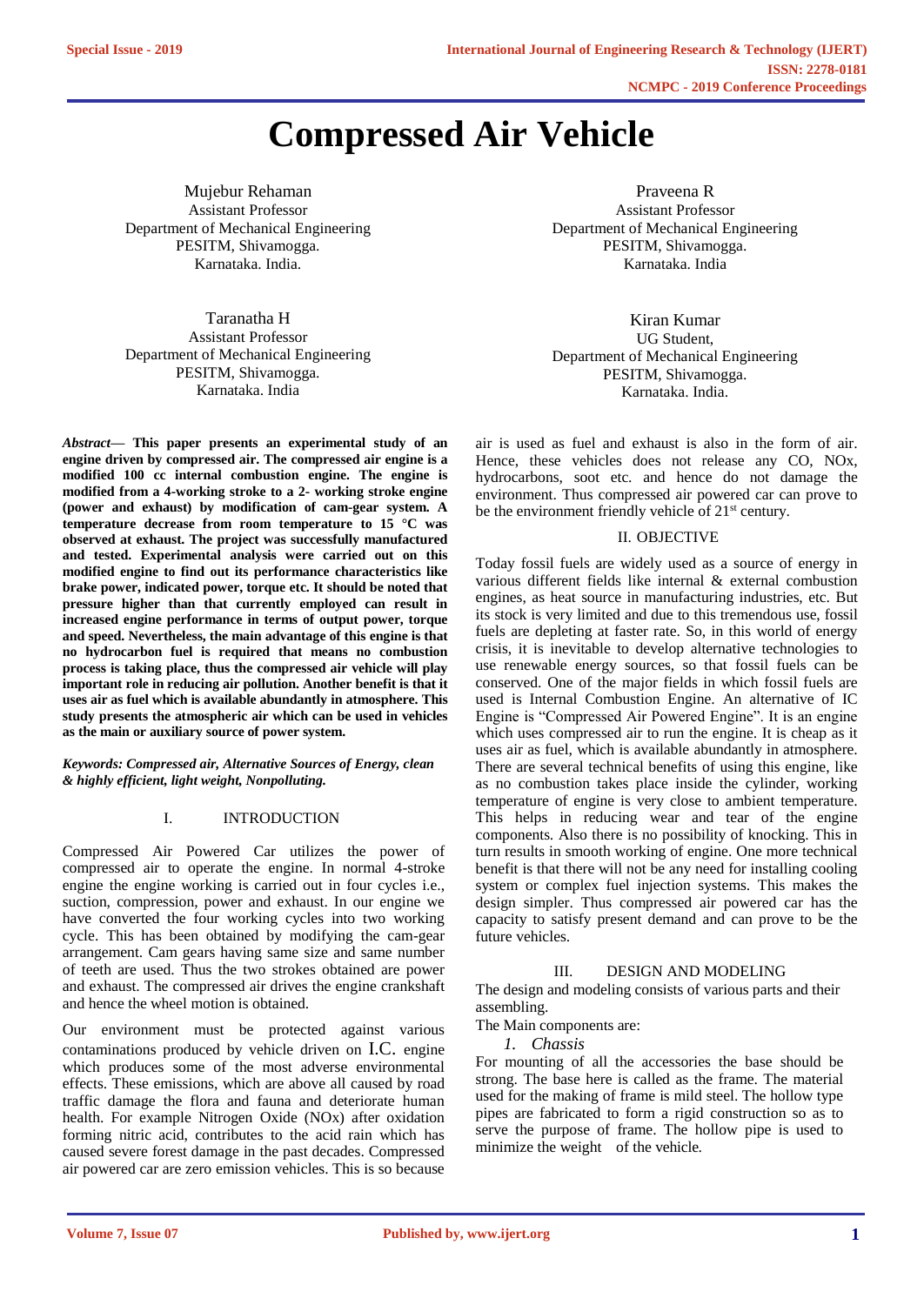# **Compressed Air Vehicle**

Mujebur Rehaman Assistant Professor Department of Mechanical Engineering PESITM, Shivamogga. Karnataka. India.

Taranatha H Assistant Professor Department of Mechanical Engineering PESITM, Shivamogga. Karnataka. India

*Abstract***— This paper presents an experimental study of an engine driven by compressed air. The compressed air engine is a modified 100 cc internal combustion engine. The engine is modified from a 4-working stroke to a 2- working stroke engine (power and exhaust) by modification of cam-gear system. A temperature decrease from room temperature to 15 °C was observed at exhaust. The project was successfully manufactured and tested. Experimental analysis were carried out on this modified engine to find out its performance characteristics like brake power, indicated power, torque etc. It should be noted that pressure higher than that currently employed can result in increased engine performance in terms of output power, torque and speed. Nevertheless, the main advantage of this engine is that no hydrocarbon fuel is required that means no combustion process is taking place, thus the compressed air vehicle will play important role in reducing air pollution. Another benefit is that it uses air as fuel which is available abundantly in atmosphere. This study presents the atmospheric air which can be used in vehicles as the main or auxiliary source of power system.**

*Keywords: Compressed air, Alternative Sources of Energy, clean & highly efficient, light weight, Nonpolluting.*

# I. INTRODUCTION

Compressed Air Powered Car utilizes the power of compressed air to operate the engine. In normal 4-stroke engine the engine working is carried out in four cycles i.e., suction, compression, power and exhaust. In our engine we have converted the four working cycles into two working cycle. This has been obtained by modifying the cam-gear arrangement. Cam gears having same size and same number of teeth are used. Thus the two strokes obtained are power and exhaust. The compressed air drives the engine crankshaft and hence the wheel motion is obtained.

Our environment must be protected against various contaminations produced by vehicle driven on I.C. engine which produces some of the most adverse environmental effects. These emissions, which are above all caused by road traffic damage the flora and fauna and deteriorate human health. For example Nitrogen Oxide (NOx) after oxidation forming nitric acid, contributes to the acid rain which has caused severe forest damage in the past decades. Compressed air powered car are zero emission vehicles. This is so because

Praveena R Assistant Professor Department of Mechanical Engineering PESITM, Shivamogga. Karnataka. India

Kiran Kumar UG Student, Department of Mechanical Engineering PESITM, Shivamogga. Karnataka. India.

air is used as fuel and exhaust is also in the form of air. Hence, these vehicles does not release any CO, NOx, hydrocarbons, soot etc. and hence do not damage the environment. Thus compressed air powered car can prove to be the environment friendly vehicle of 21<sup>st</sup> century.

## II. OBJECTIVE

Today fossil fuels are widely used as a source of energy in various different fields like internal & external combustion engines, as heat source in manufacturing industries, etc. But its stock is very limited and due to this tremendous use, fossil fuels are depleting at faster rate. So, in this world of energy crisis, it is inevitable to develop alternative technologies to use renewable energy sources, so that fossil fuels can be conserved. One of the major fields in which fossil fuels are used is Internal Combustion Engine. An alternative of IC Engine is "Compressed Air Powered Engine". It is an engine which uses compressed air to run the engine. It is cheap as it uses air as fuel, which is available abundantly in atmosphere. There are several technical benefits of using this engine, like as no combustion takes place inside the cylinder, working temperature of engine is very close to ambient temperature. This helps in reducing wear and tear of the engine components. Also there is no possibility of knocking. This in turn results in smooth working of engine. One more technical benefit is that there will not be any need for installing cooling system or complex fuel injection systems. This makes the design simpler. Thus compressed air powered car has the capacity to satisfy present demand and can prove to be the future vehicles.

## III. DESIGN AND MODELING

The design and modeling consists of various parts and their assembling.

The Main components are:

*1. Chassis*

For mounting of all the accessories the base should be strong. The base here is called as the frame. The material used for the making of frame is mild steel. The hollow type pipes are fabricated to form a rigid construction so as to serve the purpose of frame. The hollow pipe is used to minimize the weight of the vehicle.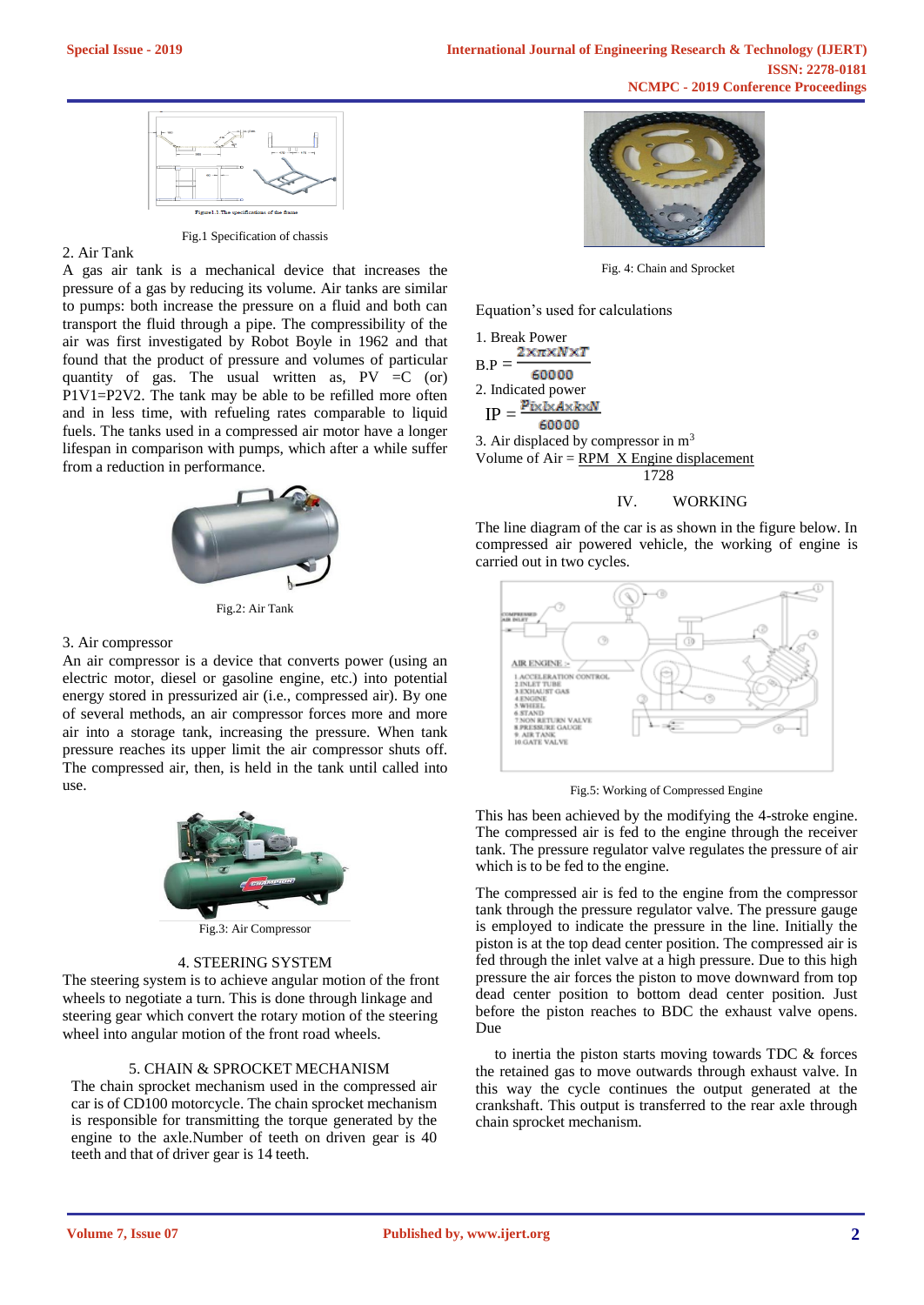

#### Fig.1 Specification of chassis

#### 2. Air Tank

A gas air tank is a mechanical device that increases the pressure of a gas by reducing its volume. Air tanks are similar to pumps: both increase the pressure on a fluid and both can transport the fluid through a pipe. The compressibility of the air was first investigated by Robot Boyle in 1962 and that found that the product of pressure and volumes of particular quantity of gas. The usual written as,  $PV = C$  (or) P1V1=P2V2. The tank may be able to be refilled more often and in less time, with refueling rates comparable to liquid fuels. The tanks used in a compressed air motor have a longer lifespan in comparison with pumps, which after a while suffer from a reduction in performance.



Fig.2: Air Tank

#### 3. Air compressor

An air compressor is a device that converts power (using an electric motor, diesel or gasoline engine, etc.) into potential energy stored in pressurized air (i.e., compressed air). By one of several methods, an air compressor forces more and more air into a storage tank, increasing the pressure. When tank pressure reaches its upper limit the air compressor shuts off. The compressed air, then, is held in the tank until called into use.



Fig.3: Air Compressor

# 4. STEERING SYSTEM

The steering system is to achieve angular motion of the front wheels to negotiate a turn. This is done through linkage and steering gear which convert the rotary motion of the steering wheel into angular motion of the front road wheels.

#### 5. CHAIN & SPROCKET MECHANISM

The chain sprocket mechanism used in the compressed air car is of CD100 motorcycle. The chain sprocket mechanism is responsible for transmitting the torque generated by the engine to the axle.Number of teeth on driven gear is 40 teeth and that of driver gear is 14 teeth.



Fig. 4: Chain and Sprocket

Equation's used for calculations

1. Break Power<br> $2 \times \pi \times N \times T$  $B.P$ 60000 2. Indicated power  $p_{ixlxA \times k \times N}$  $IP =$ 60000 3. Air displaced by compressor in  $m<sup>3</sup>$ Volume of  $Air = RPM$  X Engine displacement 1728 IV. WORKING

The line diagram of the car is as shown in the figure below. In compressed air powered vehicle, the working of engine is carried out in two cycles.



Fig.5: Working of Compressed Engine

This has been achieved by the modifying the 4-stroke engine. The compressed air is fed to the engine through the receiver tank. The pressure regulator valve regulates the pressure of air which is to be fed to the engine.

The compressed air is fed to the engine from the compressor tank through the pressure regulator valve. The pressure gauge is employed to indicate the pressure in the line. Initially the piston is at the top dead center position. The compressed air is fed through the inlet valve at a high pressure. Due to this high pressure the air forces the piston to move downward from top dead center position to bottom dead center position. Just before the piston reaches to BDC the exhaust valve opens. Due

 to inertia the piston starts moving towards TDC & forces the retained gas to move outwards through exhaust valve. In this way the cycle continues the output generated at the crankshaft. This output is transferred to the rear axle through chain sprocket mechanism.